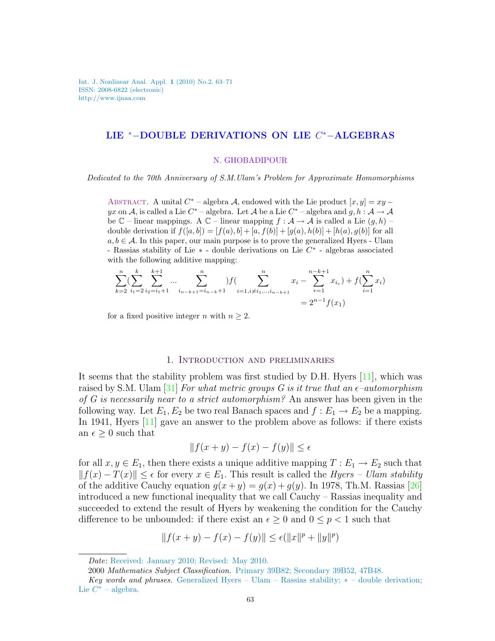Int. J. Nonlinear Anal. Appl. 1 (2010) No.2, 63–71 ISSN: 2008-6822 (electronic) http://www.ijnaa.com

# LIE <sup>∗</sup>−DOUBLE DERIVATIONS ON LIE C <sup>∗</sup>−ALGEBRAS

#### N. GHOBADIPOUR

Dedicated to the 70th Anniversary of S.M.Ulam's Problem for Approximate Homomorphisms

ABSTRACT. A unital  $C^*$  – algebra A, endowed with the Lie product  $[x, y] = xy$ yx on A, is called a Lie  $C^*$  – algebra. Let A be a Lie  $C^*$  – algebra and  $g, h: A \to A$ be  $\mathbb{C}$  – linear mappings. A  $\mathbb{C}$  – linear mapping  $f : \mathcal{A} \to \mathcal{A}$  is called a Lie  $(g, h)$  – double derivation if  $f([a, b]) = [f(a), b] + [a, f(b)] + [g(a), h(b)] + [h(a), g(b)]$  for all  $a, b \in \mathcal{A}$ . In this paper, our main purpose is to prove the generalized Hyers - Ulam - Rassias stability of Lie ∗ - double derivations on Lie C ∗ - algebras associated with the following additive mapping:

$$
\sum_{k=2}^{n} \left( \sum_{i_1=2}^{k} \sum_{i_2=i_1+1}^{k+1} \dots \sum_{i_{n-k+1}=i_{n-k}+1}^{n} \right) f\left( \sum_{i=1, i \neq i_1, \dots, i_{n-k+1}}^{n} x_i - \sum_{r=1}^{n-k+1} x_{i_r} \right) + f\left( \sum_{i=1}^{n} x_i \right) = 2^{n-1} f(x_1)
$$

for a fixed positive integer *n* with  $n \geq 2$ .

## 1. Introduction and preliminaries

It seems that the stability problem was first studied by D.H. Hyers [\[11\]](#page-7-0), which was raised by S.M. Ulam [\[31\]](#page-8-0) For what metric groups G is it true that an  $\epsilon$ -automorphism of G is necessarily near to a strict automorphism? An answer has been given in the following way. Let  $E_1, E_2$  be two real Banach spaces and  $f : E_1 \to E_2$  be a mapping. In 1941, Hyers [\[11\]](#page-7-0) gave an answer to the problem above as follows: if there exists an  $\epsilon \geq 0$  such that

$$
||f(x+y) - f(x) - f(y)|| \le \epsilon
$$

for all  $x, y \in E_1$ , then there exists a unique additive mapping  $T : E_1 \to E_2$  such that  $||f(x) - T(x)|| \leq \epsilon$  for every  $x \in E_1$ . This result is called the Hyers – Ulam stability of the additive Cauchy equation  $g(x + y) = g(x) + g(y)$ . In 1978, Th.M. Rassias [\[26\]](#page-8-1) introduced a new functional inequality that we call Cauchy – Rassias inequality and succeeded to extend the result of Hyers by weakening the condition for the Cauchy difference to be unbounded: if there exist an  $\epsilon \geq 0$  and  $0 \leq p < 1$  such that

$$
||f(x + y) - f(x) - f(y)|| \le \epsilon (||x||^p + ||y||^p)
$$

Date: Received: January 2010; Revised: May 2010.

<sup>2000</sup> Mathematics Subject Classification. Primary 39B82; Secondary 39B52, 47B48.

Key words and phrases. Generalized Hyers – Ulam – Rassias stability;  $*$  – double derivation; Lie  $C^*$  – algebra.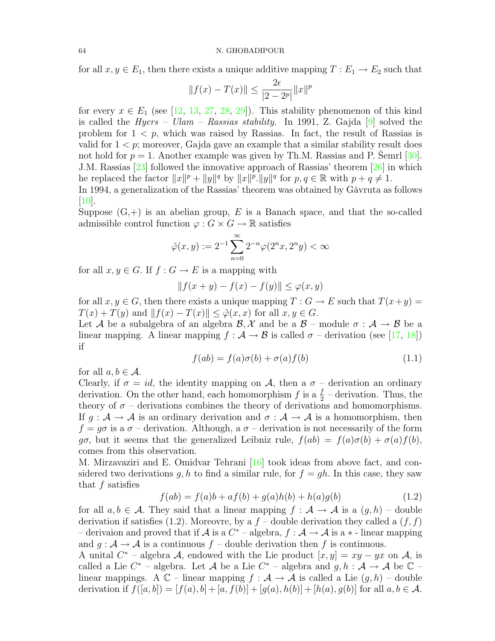for all  $x, y \in E_1$ , then there exists a unique additive mapping  $T : E_1 \to E_2$  such that

$$
||f(x) - T(x)|| \le \frac{2\epsilon}{|2 - 2^p|} ||x||^p
$$

for every  $x \in E_1$  (see [\[12,](#page-7-1) [13,](#page-7-2) [27,](#page-8-2) [28,](#page-8-3) [29\]](#page-8-4)). This stability phenomenon of this kind is called the *Hyers – Ulam – Rassias stability*. In 1991, Z. Gajda  $[9]$  solved the problem for  $1 < p$ , which was raised by Rassias. In fact, the result of Rassias is valid for  $1 < p$ ; moreover, Gajda gave an example that a similar stability result does not hold for  $p = 1$ . Another example was given by Th.M. Rassias and P. Semrl [[30\]](#page-8-5). J.M. Rassias [\[23\]](#page-8-6) followed the innovative approach of Rassias' theorem [\[26\]](#page-8-1) in which he replaced the factor  $||x||^p + ||y||^q$  by  $||x||^p$ .  $||y||^q$  for  $p, q \in \mathbb{R}$  with  $p + q \neq 1$ .

In 1994, a generalization of the Rassias' theorem was obtained by Gǎvruta as follows  $|10|$ .

Suppose  $(G,+)$  is an abelian group, E is a Banach space, and that the so-called admissible control function  $\varphi: G \times G \to \mathbb{R}$  satisfies

$$
\tilde{\varphi}(x,y) := 2^{-1} \sum_{n=0}^{\infty} 2^{-n} \varphi(2^n x, 2^n y) < \infty
$$

for all  $x, y \in G$ . If  $f : G \to E$  is a mapping with

$$
|| f(x + y) - f(x) - f(y)|| \le \varphi(x, y)
$$

for all  $x, y \in G$ , then there exists a unique mapping  $T : G \to E$  such that  $T(x+y) =$  $T(x) + T(y)$  and  $||f(x) - T(x)|| < \tilde{\varphi}(x, x)$  for all  $x, y \in G$ .

Let A be a subalgebra of an algebra  $\mathcal{B}, \mathcal{X}$  and be a  $\mathcal{B}$  – module  $\sigma : \mathcal{A} \to \mathcal{B}$  be a linear mapping. A linear mapping  $f : \mathcal{A} \to \mathcal{B}$  is called  $\sigma$  – derivation (see [\[17,](#page-8-7) [18\]](#page-8-8)) if

$$
f(ab) = f(a)\sigma(b) + \sigma(a)f(b)
$$
\n(1.1)

for all  $a, b \in \mathcal{A}$ .

Clearly, if  $\sigma = id$ , the identity mapping on A, then a  $\sigma$  – derivation an ordinary derivation. On the other hand, each homomorphism  $f$  is a  $\frac{f}{2}$  - derivation. Thus, the theory of  $\sigma$  – derivations combines the theory of derivations and homomorphisms. If  $g : A \to A$  is an ordinary derivation and  $\sigma : A \to A$  is a homomorphism, then  $f = q\sigma$  is a  $\sigma$  – derivation. Although, a  $\sigma$  – derivation is not necessarily of the form go, but it seems that the generalized Leibniz rule,  $f(ab) = f(a)\sigma(b) + \sigma(a)f(b)$ , comes from this observation.

M. Mirzavaziri and E. Omidvar Tehrani [\[16\]](#page-8-9) took ideas from above fact, and considered two derivations g, h to find a similar rule, for  $f = gh$ . In this case, they saw that  $f$  satisfies

$$
f(ab) = f(a)b + af(b) + g(a)h(b) + h(a)g(b)
$$
\n(1.2)

for all  $a, b \in \mathcal{A}$ . They said that a linear mapping  $f : \mathcal{A} \to \mathcal{A}$  is a  $(g, h)$  – double derivation if satisfies (1.2). Moreovre, by a  $f$  – double derivation they called a  $(f, f)$ – derivaion and proved that if  $A$  is a  $C^*$  – algebra,  $f : A \to A$  is a  $*$  - linear mapping and  $g : A \to A$  is a continuous  $f$  – double derivation then f is continuous.

A unital  $C^*$  – algebra A, endowed with the Lie product  $[x, y] = xy - yx$  on A, is called a Lie  $C^*$  – algebra. Let A be a Lie  $C^*$  – algebra and  $g, h : A \to A$  be  $\mathbb{C}$  – linear mappings. A  $\mathbb{C}$  – linear mapping  $f : \mathcal{A} \to \mathcal{A}$  is called a Lie  $(g, h)$  – double derivation if  $f([a, b]) = [f(a), b] + [a, f(b)] + [g(a), h(b)] + [h(a), g(b)]$  for all  $a, b \in \mathcal{A}$ .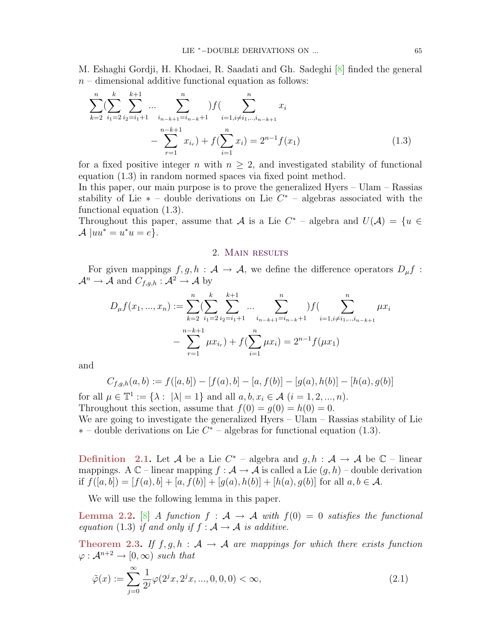M. Eshaghi Gordji, H. Khodaei, R. Saadati and Gh. Sadeghi [\[8\]](#page-7-5) finded the general  $n-$  dimensional additive functional equation as follows:

$$
\sum_{k=2}^{n} \left( \sum_{i_1=2}^{k} \sum_{i_2=i_1+1}^{k+1} \dots \sum_{i_{n-k+1}=i_{n-k}+1}^{n} \right) f\left( \sum_{i=1, i \neq i_1, \dots, i_{n-k+1}}^{n} x_i \right)
$$

$$
- \sum_{r=1}^{n-k+1} x_{i_r} + f\left( \sum_{i=1}^{n} x_i \right) = 2^{n-1} f(x_1)
$$
(1.3)

for a fixed positive integer n with  $n \geq 2$ , and investigated stability of functional equation (1.3) in random normed spaces via fixed point method.

In this paper, our main purpose is to prove the generalized Hyers – Ulam – Rassias stability of Lie  $*$  – double derivations on Lie  $C^*$  – algebras associated with the functional equation (1.3).

Throughout this paper, assume that A is a Lie  $C^*$  – algebra and  $U(\mathcal{A}) = \{u \in$  $\mathcal{A}$  |uu<sup>\*</sup> = u<sup>\*</sup>u = e}.

## 2. Main results

For given mappings  $f, g, h : A \to A$ , we define the difference operators  $D_{\mu} f$ :  $\mathcal{A}^n \to \mathcal{A}$  and  $C_{f,g,h} : \mathcal{A}^2 \to \mathcal{A}$  by

$$
D_{\mu}f(x_1,...,x_n) := \sum_{k=2}^n \left( \sum_{i_1=2}^k \sum_{i_2=i_1+1}^{k+1} \dots \sum_{i_{n-k+1}=i_{n-k}+1}^n \right) f\left(\sum_{i=1, i \neq i_1, \dots, i_{n-k+1}}^n \mu x_i\right)
$$

$$
- \sum_{r=1}^{n-k+1} \mu x_{i_r} + f\left(\sum_{i=1}^n \mu x_i\right) = 2^{n-1} f(\mu x_1)
$$

and

$$
C_{f,g,h}(a,b) := f([a,b]) - [f(a),b] - [a,f(b)] - [g(a),h(b)] - [h(a),g(b)]
$$

for all  $\mu \in \mathbb{T}^1 := \{ \lambda : |\lambda| = 1 \}$  and all  $a, b, x_i \in \mathcal{A}$   $(i = 1, 2, ..., n)$ . Throughout this section, assume that  $f(0) = g(0) = h(0) = 0$ .

We are going to investigate the generalized Hyers – Ulam – Rassias stability of Lie  $*$  – double derivations on Lie  $C^*$  – algebras for functional equation (1.3).

**Definition** 2.1. Let A be a Lie  $C^*$  – algebra and  $g, h : A \rightarrow A$  be  $C$  – linear mappings. A  $\mathbb{C}$  – linear mapping  $f : \mathcal{A} \to \mathcal{A}$  is called a Lie  $(g, h)$  – double derivation if  $f([a, b]) = [f(a), b] + [a, f(b)] + [g(a), h(b)] + [h(a), g(b)]$  for all  $a, b \in \mathcal{A}$ .

We will use the following lemma in this paper.

**Lemma 2.2.** [\[8\]](#page-7-5) A function  $f : A \rightarrow A$  with  $f(0) = 0$  satisfies the functional equation (1.3) if and only if  $f : A \rightarrow A$  is additive.

Theorem 2.3. If  $f, g, h : A \rightarrow A$  are mappings for which there exists function  $\varphi : \mathcal{A}^{n+2} \to [0,\infty)$  such that

$$
\tilde{\varphi}(x) := \sum_{j=0}^{\infty} \frac{1}{2^j} \varphi(2^j x, 2^j x, ..., 0, 0, 0) < \infty,\tag{2.1}
$$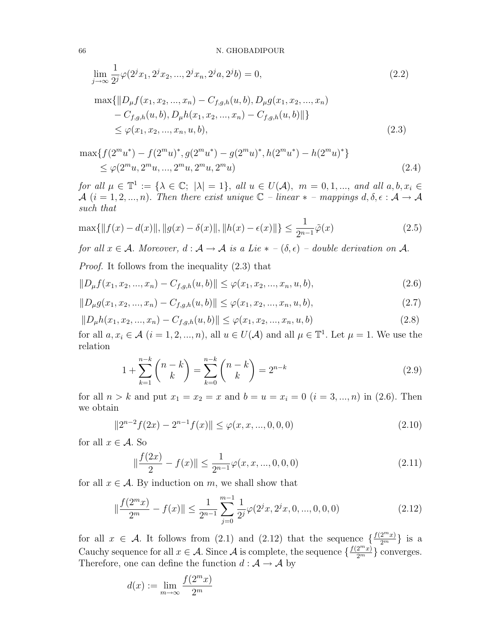$$
\lim_{j \to \infty} \frac{1}{2^{j}} \varphi(2^{j}x_{1}, 2^{j}x_{2}, ..., 2^{j}x_{n}, 2^{j}a, 2^{j}b) = 0,
$$
\n
$$
\max\{\|D_{\mu}f(x_{1}, x_{2}, ..., x_{n}) - C_{f,g,h}(u, b), D_{\mu}g(x_{1}, x_{2}, ..., x_{n}) - C_{f,g,h}(u, b), D_{\mu}h(x_{1}, x_{2}, ..., x_{n}) - C_{f,g,h}(u, b)\|\}\
$$
\n
$$
\leq \varphi(x_{1}, x_{2}, ..., x_{n}, u, b),
$$
\n(2.3)

$$
\max\{f(2^m u^*) - f(2^m u)^*, g(2^m u^*) - g(2^m u)^*, h(2^m u^*) - h(2^m u)^*\}
$$
  
 
$$
\leq \varphi(2^m u, 2^m u, ..., 2^m u, 2^m u, 2^m u)
$$
 (2.4)

for all  $\mu \in \mathbb{T}^1 := \{ \lambda \in \mathbb{C}; |\lambda| = 1 \}$ , all  $u \in U(\mathcal{A})$ ,  $m = 0, 1, ...,$  and all  $a, b, x_i \in \mathbb{C}$ A  $(i = 1, 2, ..., n)$ . Then there exist unique  $\mathbb{C}$  – linear  $*$  – mappings  $d, \delta, \epsilon : \mathcal{A} \to \mathcal{A}$ such that

$$
\max\{\|f(x) - d(x)\|, \|g(x) - \delta(x)\|, \|h(x) - \epsilon(x)\|\} \le \frac{1}{2^{n-1}}\tilde{\varphi}(x)
$$
\n(2.5)

for all  $x \in A$ . Moreover,  $d : A \to A$  is a Lie  $* - (\delta, \epsilon)$  – double derivation on A.

Proof. It follows from the inequality (2.3) that

$$
||D_{\mu}f(x_1, x_2, ..., x_n) - C_{f,g,h}(u, b)|| \leq \varphi(x_1, x_2, ..., x_n, u, b),
$$
\n(2.6)

$$
||D_{\mu}g(x_1, x_2, ..., x_n) - C_{f,g,h}(u, b)|| \leq \varphi(x_1, x_2, ..., x_n, u, b),
$$
\n(2.7)

$$
||D_{\mu}h(x_1, x_2, ..., x_n) - C_{f,g,h}(u, b)|| \le \varphi(x_1, x_2, ..., x_n, u, b)
$$
\n(2.8)

for all  $a, x_i \in \mathcal{A}$   $(i = 1, 2, ..., n)$ , all  $u \in U(\mathcal{A})$  and all  $\mu \in \mathbb{T}^1$ . Let  $\mu = 1$ . We use the relation

$$
1 + \sum_{k=1}^{n-k} \binom{n-k}{k} = \sum_{k=0}^{n-k} \binom{n-k}{k} = 2^{n-k}
$$
 (2.9)

for all  $n > k$  and put  $x_1 = x_2 = x$  and  $b = u = x_i = 0$   $(i = 3, ..., n)$  in (2.6). Then we obtain

$$
||2^{n-2}f(2x) - 2^{n-1}f(x)|| \le \varphi(x, x, ..., 0, 0, 0)
$$
\n(2.10)

for all  $x \in \mathcal{A}$ . So

$$
\|\frac{f(2x)}{2} - f(x)\| \le \frac{1}{2^{n-1}}\varphi(x, x, ..., 0, 0, 0)
$$
\n(2.11)

for all  $x \in A$ . By induction on m, we shall show that

$$
\|\frac{f(2^m x)}{2^m} - f(x)\| \le \frac{1}{2^{n-1}} \sum_{j=0}^{m-1} \frac{1}{2^j} \varphi(2^j x, 2^j x, 0, ..., 0, 0, 0)
$$
\n(2.12)

for all  $x \in \mathcal{A}$ . It follows from (2.1) and (2.12) that the sequence  $\{\frac{f(2^mx)}{2^m}\}\$ is a Cauchy sequence for all  $x \in \mathcal{A}$ . Since  $\mathcal{A}$  is complete, the sequence  $\{\frac{f(2^m x)}{2^m}\}$  converges. Therefore, one can define the function  $d : \mathcal{A} \to \mathcal{A}$  by

$$
d(x) := \lim_{m \to \infty} \frac{f(2^m x)}{2^m}
$$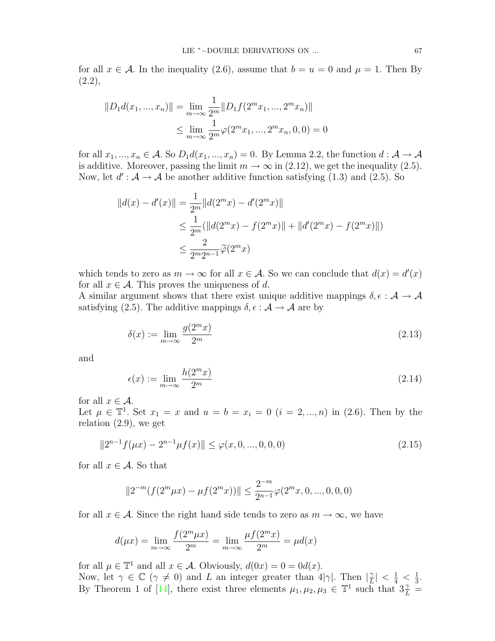for all  $x \in A$ . In the inequality (2.6), assume that  $b = u = 0$  and  $\mu = 1$ . Then By  $(2.2),$ 

$$
||D_1 d(x_1, ..., x_n)|| = \lim_{m \to \infty} \frac{1}{2^m} ||D_1 f(2^m x_1, ..., 2^m x_n)||
$$
  

$$
\leq \lim_{m \to \infty} \frac{1}{2^m} \varphi(2^m x_1, ..., 2^m x_n, 0, 0) = 0
$$

for all  $x_1, ..., x_n \in A$ . So  $D_1d(x_1, ..., x_n) = 0$ . By Lemma 2.2, the function  $d : A \to A$ is additive. Moreover, passing the limit  $m \to \infty$  in (2.12), we get the inequality (2.5). Now, let  $d' : A \to A$  be another additive function satisfying (1.3) and (2.5). So

$$
||d(x) - d'(x)|| = \frac{1}{2^m} ||d(2^m x) - d'(2^m x)||
$$
  
\n
$$
\leq \frac{1}{2^m} (||d(2^m x) - f(2^m x)|| + ||d'(2^m x) - f(2^m x)||)
$$
  
\n
$$
\leq \frac{2}{2^m 2^{n-1}} \widetilde{\varphi}(2^m x)
$$

which tends to zero as  $m \to \infty$  for all  $x \in \mathcal{A}$ . So we can conclude that  $d(x) = d'(x)$ for all  $x \in \mathcal{A}$ . This proves the uniqueness of d.

A similar argument shows that there exist unique additive mappings  $\delta, \epsilon : A \to A$ satisfying (2.5). The additive mappings  $\delta, \epsilon : A \rightarrow A$  are by

$$
\delta(x) := \lim_{m \to \infty} \frac{g(2^m x)}{2^m} \tag{2.13}
$$

and

$$
\epsilon(x) := \lim_{m \to \infty} \frac{h(2^m x)}{2^m} \tag{2.14}
$$

for all  $x \in \mathcal{A}$ .

Let  $\mu \in \mathbb{T}^1$ . Set  $x_1 = x$  and  $u = b = x_i = 0$   $(i = 2, ..., n)$  in (2.6). Then by the relation (2.9), we get

$$
||2^{n-1}f(\mu x) - 2^{n-1}\mu f(x)|| \le \varphi(x, 0, ..., 0, 0, 0)
$$
\n(2.15)

for all  $x \in \mathcal{A}$ . So that

$$
||2^{-m}(f(2^m \mu x) - \mu f(2^m x))|| \le \frac{2^{-m}}{2^{n-1}} \varphi(2^m x, 0, ..., 0, 0, 0)
$$

for all  $x \in A$ . Since the right hand side tends to zero as  $m \to \infty$ , we have

$$
d(\mu x) = \lim_{m \to \infty} \frac{f(2^m \mu x)}{2^m} = \lim_{m \to \infty} \frac{\mu f(2^m x)}{2^m} = \mu d(x)
$$

for all  $\mu \in \mathbb{T}^1$  and all  $x \in \mathcal{A}$ . Obviously,  $d(0x) = 0 = 0d(x)$ .

Now, let  $\gamma \in \mathbb{C}$  ( $\gamma \neq 0$ ) and L an integer greater than  $4|\gamma|$ . Then  $|\frac{\gamma}{L}|$  $\frac{\gamma}{L}|<\frac{1}{4}<\frac{1}{3}$  $\frac{1}{3}$ . By Theorem 1 of [\[14\]](#page-7-6), there exist three elements  $\mu_1, \mu_2, \mu_3 \in \mathbb{T}^1$  such that  $3\frac{\gamma}{L}$  =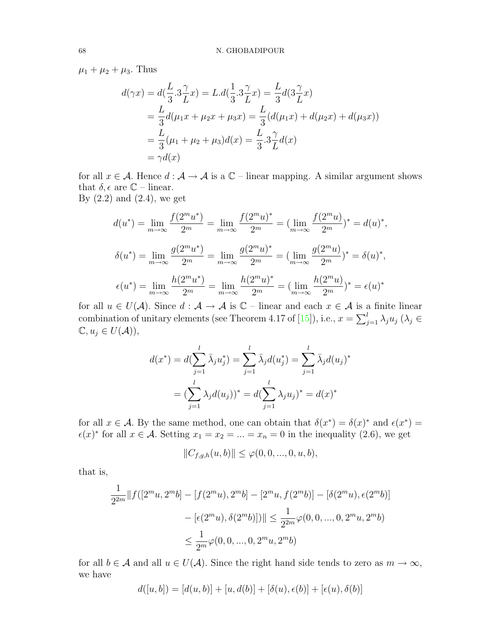$\mu_1 + \mu_2 + \mu_3$ . Thus

$$
d(\gamma x) = d(\frac{L}{3} \cdot 3\frac{\gamma}{L} x) = L.d(\frac{1}{3} \cdot 3\frac{\gamma}{L} x) = \frac{L}{3}d(3\frac{\gamma}{L} x)
$$
  
=  $\frac{L}{3}d(\mu_1 x + \mu_2 x + \mu_3 x) = \frac{L}{3}(d(\mu_1 x) + d(\mu_2 x) + d(\mu_3 x))$   
=  $\frac{L}{3}(\mu_1 + \mu_2 + \mu_3)d(x) = \frac{L}{3} \cdot 3\frac{\gamma}{L}d(x)$   
=  $\gamma d(x)$ 

for all  $x \in A$ . Hence  $d : A \to A$  is a  $\mathbb{C}$  – linear mapping. A similar argument shows that  $\delta$ ,  $\epsilon$  are  $\mathbb{C}$  – linear. By  $(2.2)$  and  $(2.4)$ , we get

$$
d(u^*) = \lim_{m \to \infty} \frac{f(2^m u^*)}{2^m} = \lim_{m \to \infty} \frac{f(2^m u)^*}{2^m} = (\lim_{m \to \infty} \frac{f(2^m u)}{2^m})^* = d(u)^*,
$$
  

$$
\delta(u^*) = \lim_{m \to \infty} \frac{g(2^m u^*)}{2^m} = \lim_{m \to \infty} \frac{g(2^m u)^*}{2^m} = (\lim_{m \to \infty} \frac{g(2^m u)}{2^m})^* = \delta(u)^*,
$$
  

$$
\epsilon(u^*) = \lim_{m \to \infty} \frac{h(2^m u^*)}{2^m} = \lim_{m \to \infty} \frac{h(2^m u)^*}{2^m} = (\lim_{m \to \infty} \frac{h(2^m u)}{2^m})^* = \epsilon(u)^*
$$

for all  $u \in U(\mathcal{A})$ . Since  $d : \mathcal{A} \to \mathcal{A}$  is  $\mathbb{C}$  – linear and each  $x \in \mathcal{A}$  is a finite linear combination of unitary elements (see Theorem 4.17 of [\[15\]](#page-7-7)), i.e.,  $x = \sum_{j=1}^{l} \lambda_j u_j$  ( $\lambda_j \in$  $\mathbb{C}, u_j \in U(\mathcal{A})),$ 

$$
d(x^*) = d(\sum_{j=1}^l \bar{\lambda}_j u_j^*) = \sum_{j=1}^l \bar{\lambda}_j d(u_j^*) = \sum_{j=1}^l \bar{\lambda}_j d(u_j)^*
$$

$$
= (\sum_{j=1}^l \lambda_j d(u_j))^* = d(\sum_{j=1}^l \lambda_j u_j)^* = d(x)^*
$$

for all  $x \in \mathcal{A}$ . By the same method, one can obtain that  $\delta(x^*) = \delta(x^*)$  and  $\epsilon(x^*) =$  $\epsilon(x)^*$  for all  $x \in \mathcal{A}$ . Setting  $x_1 = x_2 = ... = x_n = 0$  in the inequality (2.6), we get

$$
||C_{f,g,h}(u,b)||\leq \varphi(0,0,...,0,u,b),
$$

that is,

$$
\frac{1}{2^{2m}} \|f([2^m u, 2^m b] - [f(2^m u), 2^m b] - [2^m u, f(2^m b)] - [\delta(2^m u), \epsilon(2^m b)]
$$

$$
- [\epsilon(2^m u), \delta(2^m b)]) \| \le \frac{1}{2^{2m}} \varphi(0, 0, ..., 0, 2^m u, 2^m b)
$$

$$
\le \frac{1}{2^m} \varphi(0, 0, ..., 0, 2^m u, 2^m b)
$$

for all  $b \in A$  and all  $u \in U(A)$ . Since the right hand side tends to zero as  $m \to \infty$ , we have

$$
d([u, b]) = [d(u, b)] + [u, d(b)] + [\delta(u), \epsilon(b)] + [\epsilon(u), \delta(b)]
$$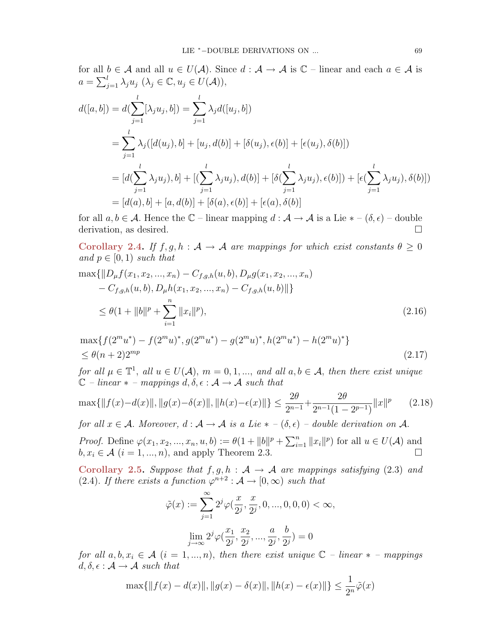for all  $b \in \mathcal{A}$  and all  $u \in U(\mathcal{A})$ . Since  $d : \mathcal{A} \to \mathcal{A}$  is  $\mathbb{C}$  – linear and each  $a \in \mathcal{A}$  is  $a = \sum_{j=1}^{l} \lambda_j u_j \; (\lambda_j \in \mathbb{C}, u_j \in U(\mathcal{A})),$ 

$$
d([a, b]) = d(\sum_{j=1}^{l} [\lambda_j u_j, b]) = \sum_{j=1}^{l} \lambda_j d([u_j, b])
$$
  
= 
$$
\sum_{j=1}^{l} \lambda_j ([d(u_j), b] + [u_j, d(b)] + [\delta(u_j), \epsilon(b)] + [\epsilon(u_j), \delta(b)])
$$
  
= 
$$
[d(\sum_{j=1}^{l} \lambda_j u_j), b] + [(\sum_{j=1}^{l} \lambda_j u_j), d(b)] + [\delta(\sum_{j=1}^{l} \lambda_j u_j), \epsilon(b)]) + [\epsilon(\sum_{j=1}^{l} \lambda_j u_j), \delta(b)])
$$
  
= 
$$
[d(a), b] + [a, d(b)] + [\delta(a), \epsilon(b)] + [\epsilon(a), \delta(b)]
$$

for all  $a, b \in \mathcal{A}$ . Hence the  $\mathbb{C}$  – linear mapping  $d : \mathcal{A} \to \mathcal{A}$  is a Lie  $* - (\delta, \epsilon)$  – double derivation, as desired.

Corollary 2.4. If  $f, g, h : A \to A$  are mappings for which exist constants  $\theta \geq 0$ and  $p \in [0, 1)$  such that

$$
\max\{\|D_{\mu}f(x_1, x_2, ..., x_n) - C_{f,g,h}(u, b), D_{\mu}g(x_1, x_2, ..., x_n) - C_{f,g,h}(u, b), D_{\mu}h(x_1, x_2, ..., x_n) - C_{f,g,h}(u, b)\|\}
$$
  

$$
\leq \theta(1 + \|b\|^p + \sum_{i=1}^n \|x_i\|^p),
$$
\n(2.16)

$$
\max\{f(2^m u^*) - f(2^m u)^*, g(2^m u^*) - g(2^m u)^*, h(2^m u^*) - h(2^m u)^*\}
$$
  
 
$$
\leq \theta(n+2)2^{mp}
$$
 (2.17)

for all  $\mu \in \mathbb{T}^1$ , all  $u \in U(\mathcal{A})$ ,  $m = 0, 1, ...,$  and all  $a, b \in \mathcal{A}$ , then there exist unique  $\mathbb{C}$  – linear  $*$  – mappings  $d, \delta, \epsilon : \mathcal{A} \to \mathcal{A}$  such that

$$
\max\{\|f(x) - d(x)\|, \|g(x) - \delta(x)\|, \|h(x) - \epsilon(x)\|\} \le \frac{2\theta}{2^{n-1}} + \frac{2\theta}{2^{n-1}(1 - 2^{p-1})}\|x\|^p \tag{2.18}
$$

for all  $x \in A$ . Moreover,  $d : A \to A$  is a Lie  $* - (\delta, \epsilon)$  – double derivation on A.

*Proof.* Define  $\varphi(x_1, x_2, ..., x_n, u, b) := \theta(1 + ||b||^p + \sum_{i=1}^n ||x_i||^p)$  for all  $u \in U(\mathcal{A})$  and  $b, x_i \in \mathcal{A}$   $(i = 1, ..., n)$ , and apply Theorem 2.3.

Corollary 2.5. Suppose that  $f, g, h : A \rightarrow A$  are mappings satisfying (2.3) and (2.4). If there exists a function  $\varphi^{n+2} : A \to [0, \infty)$  such that

$$
\tilde{\varphi}(x) := \sum_{j=1}^{\infty} 2^{j} \varphi(\frac{x}{2^j}, \frac{x}{2^j}, 0, ..., 0, 0, 0) < \infty,
$$
  

$$
\lim_{j \to \infty} 2^{j} \varphi(\frac{x_1}{2^j}, \frac{x_2}{2^j}, ..., \frac{a}{2^j}, \frac{b}{2^j}) = 0
$$

for all  $a, b, x_i \in \mathcal{A}$   $(i = 1, ..., n)$ , then there exist unique  $\mathbb{C}$  – linear  $*$  – mappings  $d, \delta, \epsilon : \mathcal{A} \rightarrow \mathcal{A}$  such that

$$
\max\{\|f(x) - d(x)\|, \|g(x) - \delta(x)\|, \|h(x) - \epsilon(x)\|\} \le \frac{1}{2^n}\tilde{\varphi}(x)
$$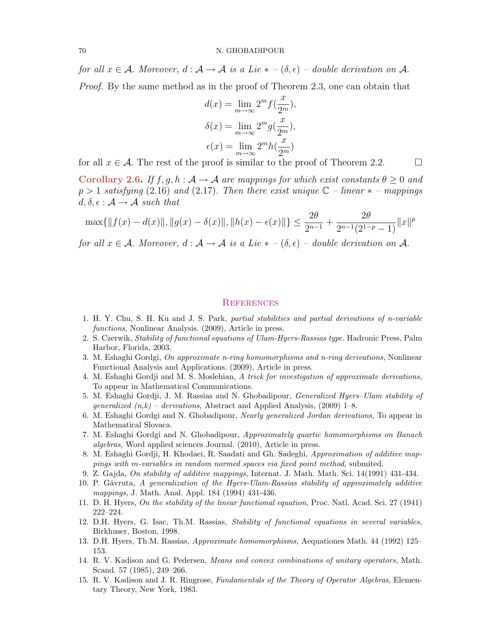#### 70 N. GHOBADIPOUR

for all  $x \in A$ . Moreover,  $d : A \to A$  is a Lie  $* - (\delta, \epsilon)$  – double derivation on A. *Proof.* By the same method as in the proof of Theorem 2.3, one can obtain that

$$
d(x) = \lim_{m \to \infty} 2^{m} f(\frac{x}{2^{m}}),
$$
  
\n
$$
\delta(x) = \lim_{m \to \infty} 2^{m} g(\frac{x}{2^{m}}),
$$
  
\n
$$
\epsilon(x) = \lim_{m \to \infty} 2^{m} h(\frac{x}{2^{m}})
$$

for all  $x \in \mathcal{A}$ . The rest of the proof is similar to the proof of Theorem 2.2.

Corollary 2.6. If  $f, g, h : A \to A$  are mappings for which exist constants  $\theta \geq 0$  and  $p > 1$  satisfying (2.16) and (2.17). Then there exist unique  $\mathbb{C}$  – linear  $*$  – mappings  $d, \delta, \epsilon : \mathcal{A} \rightarrow \mathcal{A}$  such that

$$
\max\{\|f(x) - d(x)\|, \|g(x) - \delta(x)\|, \|h(x) - \epsilon(x)\|\} \le \frac{2\theta}{2^{n-1}} + \frac{2\theta}{2^{n-1}(2^{1-p}-1)}\|x\|^p
$$

for all  $x \in A$ . Moreover,  $d : A \to A$  is a Lie  $* - (\delta, \epsilon)$  – double derivation on A.

### **REFERENCES**

- 1. H. Y. Chu, S. H. Ku and J. S. Park, partial stabilities and partial derivations of n-variable functions, Nonlinear Analysis. (2009), Article in press.
- 2. S. Czerwik, Stability of functional equations of Ulam-Hyers-Rassias type. Hadronic Press, Palm Harbor, Florida, 2003.
- 3. M. Eshaghi Gordgi, On approximate n-ring homomorphisms and n-ring derivations, Nonlinear Functional Analysis and Applications. (2009), Article in press.
- 4. M. Eshaghi Gordji and M. S. Moslehian, A trick for investigation of approximate derivations, To appear in Mathematical Communications.
- 5. M. Eshaghi Gordji, J. M. Rassias and N. Ghobadipour, Generalized Hyers–Ulam stability of *generalized*  $(n,k)$  – *derivations*, Abstract and Applied Analysis, (2009) 1–8.
- 6. M. Eshaghi Gordgi and N. Ghobadipour, Nearly generalized Jordan derivations, To appear in Mathematical Slovaca.
- 7. M. Eshaghi Gordgi and N. Ghobadipour, Approximately quartic homomorphisms on Banach algebras, Word applied sciences Journal. (2010), Article in press.
- <span id="page-7-5"></span>8. M. Eshaghi Gordji, H. Khodaei, R. Saadati and Gh. Sadeghi, Approximation of additive mappings with m-variables in random normed spaces via fixed point method, submited.
- <span id="page-7-3"></span>9. Z. Gajda, On stability of additive mappings, Internat. J. Math. Math. Sci. 14(1991) 431-434.
- <span id="page-7-4"></span>10. P. Găvruta, A generalization of the Hyers-Ulam-Rassias stability of approximately additive mappings, J. Math. Anal. Appl. 184 (1994) 431-436.
- <span id="page-7-0"></span>11. D. H. Hyers, On the stability of the linear functional equation, Proc. Natl. Acad. Sci. 27 (1941) 222–224.
- <span id="page-7-1"></span>12. D.H. Hyers, G. Isac, Th.M. Rassias, Stability of functional equations in several variables, Birkhuser, Boston, 1998.
- <span id="page-7-2"></span>13. D.H. Hyers, Th.M. Rassias, Approximate homomorphisms, Aequationes Math. 44 (1992) 125– 153.
- <span id="page-7-6"></span>14. R. V. Kadison and G. Pedersen, Means and convex combinations of unitary operators, Math. Scand. 57 (1985), 249–266.
- <span id="page-7-7"></span>15. R. V. Kadison and J. R. Ringrose, Fundamentals of the Theory of Operator Algebras, Elementary Theory, New York, 1983.